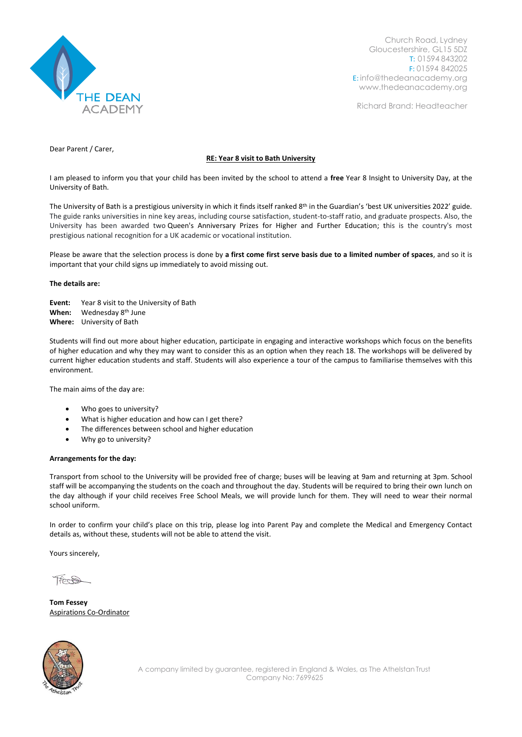

Church Road, Lydney Gloucestershire, GL15 5DZ T: 01594 843202 F: 01594 842025 E: [info@thedeanacademy.org](mailto:info@thedeanacademy.org) [www.thedeanacademy.org](http://www.thedeanacademy.org/)

Richard Brand: Headteacher

Dear Parent / Carer,

## **RE: Year 8 visit to Bath University**

I am pleased to inform you that your child has been invited by the school to attend a **free** Year 8 Insight to University Day, at the University of Bath.

The University of Bath is a prestigious university in which it finds itself ranked 8<sup>th</sup> in the Guardian's 'best UK universities 2022' guide. The guide ranks universities in nine key areas, including course satisfaction, student-to-staff ratio, and graduate prospects. Also, the University has been awarded two [Queen's Anniversary Prizes for Higher and Further Education;](http://www.royalanniversarytrust.org.uk/) this is the country's most prestigious national recognition for a UK academic or vocational institution.

Please be aware that the selection process is done by **a first come first serve basis due to a limited number of spaces**, and so it is important that your child signs up immediately to avoid missing out.

## **The details are:**

**Event:** Year 8 visit to the University of Bath When: Wednesday 8<sup>th</sup> June **When:** Wednesday 8 th June **Where:** University of Bath

Students will find out more about higher education, participate in engaging and interactive workshops which focus on the benefits of higher education and why they may want to consider this as an option when they reach 18. The workshops will be delivered by current higher education students and staff. Students will also experience a tour of the campus to familiarise themselves with this environment.

The main aims of the day are:

- Who goes to university?
- What is higher education and how can I get there?
- The differences between school and higher education
- Why go to university?

## **Arrangements for the day:**

Transport from school to the University will be provided free of charge; buses will be leaving at 9am and returning at 3pm. School staff will be accompanying the students on the coach and throughout the day. Students will be required to bring their own lunch on the day although if your child receives Free School Meals, we will provide lunch for them. They will need to wear their normal school uniform.

In order to confirm your child's place on this trip, please log into Parent Pay and complete the Medical and Emergency Contact details as, without these, students will not be able to attend the visit.

Yours sincerely,

Trest

**Tom Fessey** Aspirations Co-Ordinator